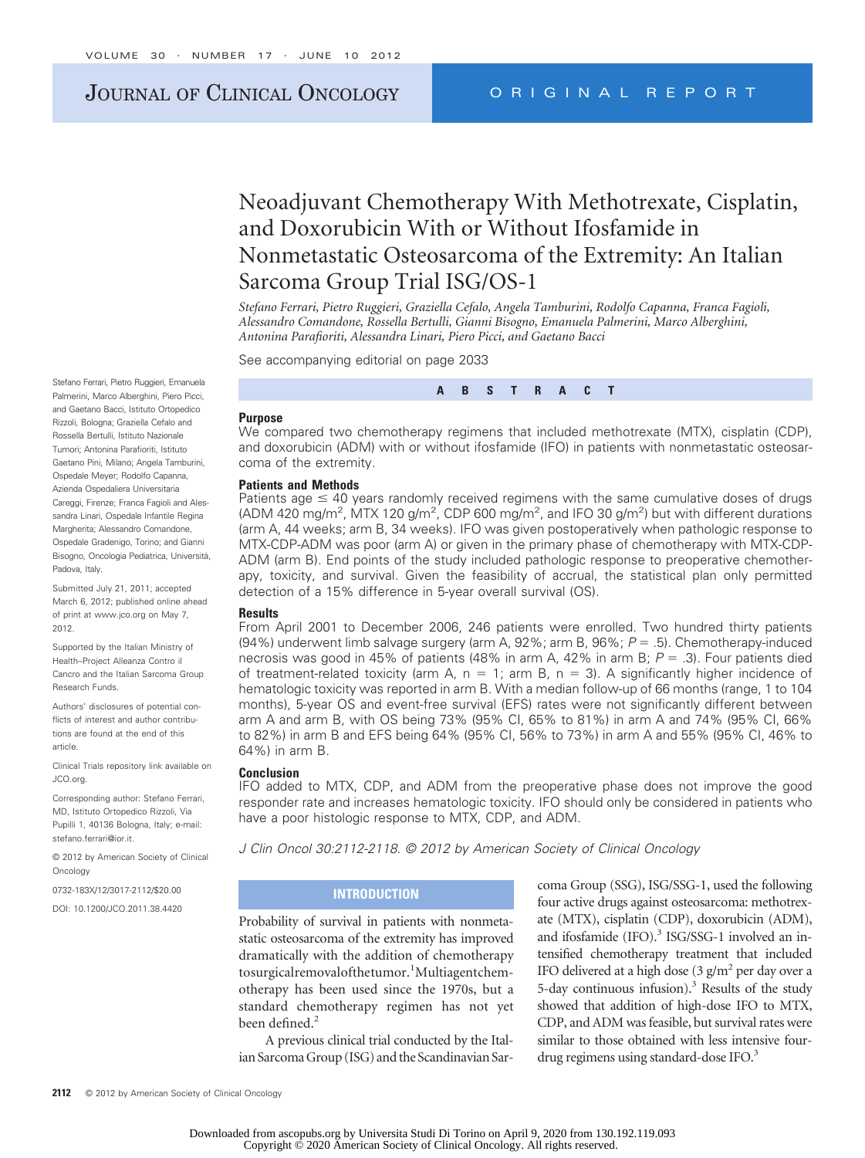# JOURNAL OF CLINICAL ONCOLOGY ORIGINAL REPORT

# Neoadjuvant Chemotherapy With Methotrexate, Cisplatin, and Doxorubicin With or Without Ifosfamide in Nonmetastatic Osteosarcoma of the Extremity: An Italian Sarcoma Group Trial ISG/OS-1

*Stefano Ferrari, Pietro Ruggieri, Graziella Cefalo, Angela Tamburini, Rodolfo Capanna, Franca Fagioli, Alessandro Comandone, Rossella Bertulli, Gianni Bisogno, Emanuela Palmerini, Marco Alberghini, Antonina Parafioriti, Alessandra Linari, Piero Picci, and Gaetano Bacci*

See accompanying editorial on page 2033

|  | A B S T R A C T |  |  |  |  |  |  |
|--|-----------------|--|--|--|--|--|--|
|--|-----------------|--|--|--|--|--|--|

#### **Purpose**

We compared two chemotherapy regimens that included methotrexate (MTX), cisplatin (CDP), and doxorubicin (ADM) with or without ifosfamide (IFO) in patients with nonmetastatic osteosarcoma of the extremity.

#### **Patients and Methods**

Patients age  $\leq$  40 years randomly received regimens with the same cumulative doses of drugs (ADM 420 mg/m<sup>2</sup>, MTX 120 g/m<sup>2</sup>, CDP 600 mg/m<sup>2</sup>, and IFO 30 g/m<sup>2</sup>) but with different durations (arm A, 44 weeks; arm B, 34 weeks). IFO was given postoperatively when pathologic response to MTX-CDP-ADM was poor (arm A) or given in the primary phase of chemotherapy with MTX-CDP-ADM (arm B). End points of the study included pathologic response to preoperative chemotherapy, toxicity, and survival. Given the feasibility of accrual, the statistical plan only permitted detection of a 15% difference in 5-year overall survival (OS).

#### **Results**

From April 2001 to December 2006, 246 patients were enrolled. Two hundred thirty patients (94%) underwent limb salvage surgery (arm A, 92%; arm B, 96%;  $P = .5$ ). Chemotherapy-induced necrosis was good in 45% of patients (48% in arm A, 42% in arm B;  $P = .3$ ). Four patients died of treatment-related toxicity (arm A,  $n = 1$ ; arm B,  $n = 3$ ). A significantly higher incidence of hematologic toxicity was reported in arm B. With a median follow-up of 66 months (range, 1 to 104 months), 5-year OS and event-free survival (EFS) rates were not significantly different between arm A and arm B, with OS being 73% (95% CI, 65% to 81%) in arm A and 74% (95% CI, 66% to 82%) in arm B and EFS being 64% (95% CI, 56% to 73%) in arm A and 55% (95% CI, 46% to 64%) in arm B.

#### **Conclusion**

IFO added to MTX, CDP, and ADM from the preoperative phase does not improve the good responder rate and increases hematologic toxicity. IFO should only be considered in patients who have a poor histologic response to MTX, CDP, and ADM.

*J Clin Oncol 30:2112-2118. © 2012 by American Society of Clinical Oncology*

### **INTRODUCTION**

Probability of survival in patients with nonmetastatic osteosarcoma of the extremity has improved dramatically with the addition of chemotherapy tosurgicalremovalofthetumor.<sup>1</sup>Multiagentchemotherapy has been used since the 1970s, but a standard chemotherapy regimen has not yet been defined.<sup>2</sup>

A previous clinical trial conducted by the Italian Sarcoma Group (ISG) and the Scandinavian Sar-

coma Group (SSG), ISG/SSG-1, used the following four active drugs against osteosarcoma: methotrexate (MTX), cisplatin (CDP), doxorubicin (ADM), and ifosfamide (IFO).<sup>3</sup> ISG/SSG-1 involved an intensified chemotherapy treatment that included IFO delivered at a high dose  $(3 \text{ g/m}^2 \text{ per day over a})$ 5-day continuous infusion).3 Results of the study showed that addition of high-dose IFO to MTX, CDP, and ADM was feasible, but survival rates were similar to those obtained with less intensive fourdrug regimens using standard-dose IFO.<sup>3</sup>

Stefano Ferrari, Pietro Ruggieri, Emanuela Palmerini, Marco Alberghini, Piero Picci, and Gaetano Bacci, Istituto Ortopedico Rizzoli, Bologna; Graziella Cefalo and Rossella Bertulli, Istituto Nazionale Tumori; Antonina Parafioriti, Istituto Gaetano Pini, Milano; Angela Tamburini, Ospedale Meyer; Rodolfo Capanna, Azienda Ospedaliera Universitaria Careggi, Firenze; Franca Fagioli and Alessandra Linari, Ospedale Infantile Regina Margherita; Alessandro Comandone, Ospedale Gradenigo, Torino; and Gianni Bisogno, Oncologia Pediatrica, Università, Padova, Italy.

Submitted July 21, 2011; accepted March 6, 2012; published online ahead of print at www.jco.org on May 7, 2012.

Supported by the Italian Ministry of Health–Project Alleanza Contro il Cancro and the Italian Sarcoma Group Research Funds.

Authors' disclosures of potential conflicts of interest and author contributions are found at the end of this article.

Clinical Trials repository link available on JCO.org.

Corresponding author: Stefano Ferrari, MD, Istituto Ortopedico Rizzoli, Via Pupilli 1, 40136 Bologna, Italy; e-mail: stefano.ferrari@ior.it.

© 2012 by American Society of Clinical Oncology

0732-183X/12/3017-2112/\$20.00

DOI: 10.1200/JCO.2011.38.4420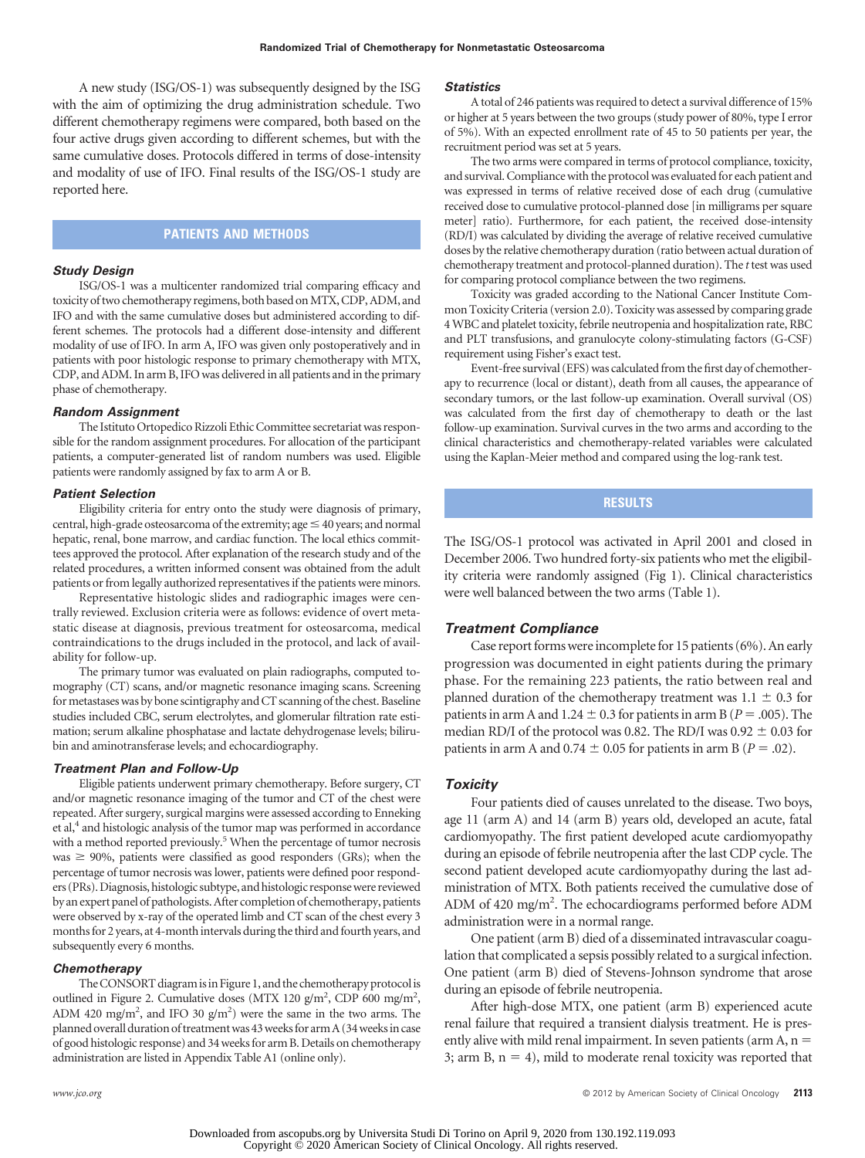A new study (ISG/OS-1) was subsequently designed by the ISG with the aim of optimizing the drug administration schedule. Two different chemotherapy regimens were compared, both based on the four active drugs given according to different schemes, but with the same cumulative doses. Protocols differed in terms of dose-intensity and modality of use of IFO. Final results of the ISG/OS-1 study are reported here.

# **PATIENTS AND METHODS**

### *Study Design*

ISG/OS-1 was a multicenter randomized trial comparing efficacy and toxicity of two chemotherapy regimens, both based on MTX, CDP, ADM, and IFO and with the same cumulative doses but administered according to different schemes. The protocols had a different dose-intensity and different modality of use of IFO. In arm A, IFO was given only postoperatively and in patients with poor histologic response to primary chemotherapy with MTX, CDP, and ADM. In arm B, IFO was delivered in all patients and in the primary phase of chemotherapy.

#### *Random Assignment*

The Istituto Ortopedico Rizzoli Ethic Committee secretariat was responsible for the random assignment procedures. For allocation of the participant patients, a computer-generated list of random numbers was used. Eligible patients were randomly assigned by fax to arm A or B.

#### *Patient Selection*

Eligibility criteria for entry onto the study were diagnosis of primary, central, high-grade osteosarcoma of the extremity; age  $\leq$  40 years; and normal hepatic, renal, bone marrow, and cardiac function. The local ethics committees approved the protocol. After explanation of the research study and of the related procedures, a written informed consent was obtained from the adult patients or from legally authorized representatives if the patients were minors.

Representative histologic slides and radiographic images were centrally reviewed. Exclusion criteria were as follows: evidence of overt metastatic disease at diagnosis, previous treatment for osteosarcoma, medical contraindications to the drugs included in the protocol, and lack of availability for follow-up.

The primary tumor was evaluated on plain radiographs, computed tomography (CT) scans, and/or magnetic resonance imaging scans. Screening for metastases was by bone scintigraphy and CT scanning of the chest. Baseline studies included CBC, serum electrolytes, and glomerular filtration rate estimation; serum alkaline phosphatase and lactate dehydrogenase levels; bilirubin and aminotransferase levels; and echocardiography.

### *Treatment Plan and Follow-Up*

Eligible patients underwent primary chemotherapy. Before surgery, CT and/or magnetic resonance imaging of the tumor and CT of the chest were repeated. After surgery, surgical margins were assessed according to Enneking et al,<sup>4</sup> and histologic analysis of the tumor map was performed in accordance with a method reported previously.<sup>5</sup> When the percentage of tumor necrosis  $was \ge 90\%$ , patients were classified as good responders (GRs); when the percentage of tumor necrosis was lower, patients were defined poor responders (PRs).Diagnosis, histologic subtype, and histologic responsewere reviewed by an expert panel of pathologists. After completion of chemotherapy, patients were observed by x-ray of the operated limb and CT scan of the chest every 3 months for 2 years, at 4-month intervals during the third and fourth years, and subsequently every 6 months.

### *Chemotherapy*

The CONSORT diagram is in Figure 1, and the chemotherapy protocol is outlined in Figure 2. Cumulative doses (MTX 120 g/m<sup>2</sup>, CDP 600 mg/m<sup>2</sup>, ADM 420 mg/m<sup>2</sup>, and IFO 30  $g/m^2$ ) were the same in the two arms. The planned overall duration of treatment was 43 weeks for arm A (34 weeks in case of good histologic response) and 34 weeksfor arm B. Details on chemotherapy administration are listed in Appendix Table A1 (online only).

#### *Statistics*

A total of 246 patients was required to detect a survival difference of 15% or higher at 5 years between the two groups (study power of 80%, type I error of 5%). With an expected enrollment rate of 45 to 50 patients per year, the recruitment period was set at 5 years.

The two arms were compared in terms of protocol compliance, toxicity, and survival. Compliance with the protocol was evaluated for each patient and was expressed in terms of relative received dose of each drug (cumulative received dose to cumulative protocol-planned dose [in milligrams per square meter] ratio). Furthermore, for each patient, the received dose-intensity (RD/I) was calculated by dividing the average of relative received cumulative doses by the relative chemotherapy duration (ratio between actual duration of chemotherapy treatment and protocol-planned duration). The *t* test was used for comparing protocol compliance between the two regimens.

Toxicity was graded according to the National Cancer Institute Common Toxicity Criteria (version 2.0). Toxicity was assessed by comparing grade 4WBC and platelet toxicity, febrile neutropenia and hospitalization rate, RBC and PLT transfusions, and granulocyte colony-stimulating factors (G-CSF) requirement using Fisher's exact test.

Event-free survival (EFS) was calculated from the first day of chemotherapy to recurrence (local or distant), death from all causes, the appearance of secondary tumors, or the last follow-up examination. Overall survival (OS) was calculated from the first day of chemotherapy to death or the last follow-up examination. Survival curves in the two arms and according to the clinical characteristics and chemotherapy-related variables were calculated using the Kaplan-Meier method and compared using the log-rank test.

### **RESULTS**

The ISG/OS-1 protocol was activated in April 2001 and closed in December 2006. Two hundred forty-six patients who met the eligibility criteria were randomly assigned (Fig 1). Clinical characteristics were well balanced between the two arms (Table 1).

#### *Treatment Compliance*

Case report forms were incomplete for 15 patients (6%). An early progression was documented in eight patients during the primary phase. For the remaining 223 patients, the ratio between real and planned duration of the chemotherapy treatment was  $1.1 \pm 0.3$  for patients in arm A and  $1.24 \pm 0.3$  for patients in arm B ( $P = .005$ ). The median RD/I of the protocol was 0.82. The RD/I was 0.92  $\pm$  0.03 for patients in arm A and  $0.74 \pm 0.05$  for patients in arm B ( $P = .02$ ).

### *Toxicity*

Four patients died of causes unrelated to the disease. Two boys, age 11 (arm A) and 14 (arm B) years old, developed an acute, fatal cardiomyopathy. The first patient developed acute cardiomyopathy during an episode of febrile neutropenia after the last CDP cycle. The second patient developed acute cardiomyopathy during the last administration of MTX. Both patients received the cumulative dose of ADM of 420 mg/m<sup>2</sup>. The echocardiograms performed before ADM administration were in a normal range.

One patient (arm B) died of a disseminated intravascular coagulation that complicated a sepsis possibly related to a surgical infection. One patient (arm B) died of Stevens-Johnson syndrome that arose during an episode of febrile neutropenia.

After high-dose MTX, one patient (arm B) experienced acute renal failure that required a transient dialysis treatment. He is presently alive with mild renal impairment. In seven patients (arm  $A$ ,  $n =$ 3; arm B,  $n = 4$ ), mild to moderate renal toxicity was reported that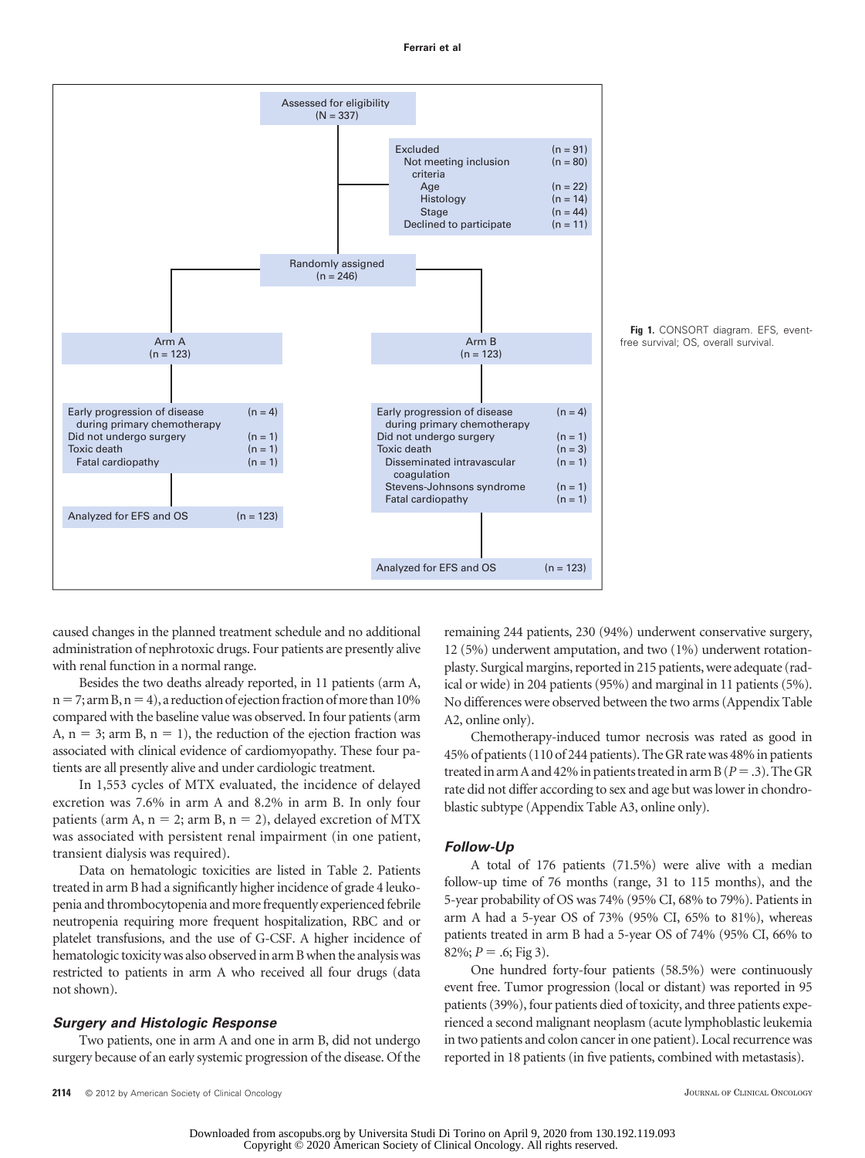### **Ferrari et al**





caused changes in the planned treatment schedule and no additional administration of nephrotoxic drugs. Four patients are presently alive with renal function in a normal range.

Besides the two deaths already reported, in 11 patients (arm A,  $n=7;$  arm B,  $n=4$ ), a reduction of ejection fraction of more than 10% compared with the baseline value was observed. In four patients (arm A,  $n = 3$ ; arm B,  $n = 1$ ), the reduction of the ejection fraction was associated with clinical evidence of cardiomyopathy. These four patients are all presently alive and under cardiologic treatment.

In 1,553 cycles of MTX evaluated, the incidence of delayed excretion was 7.6% in arm A and 8.2% in arm B. In only four patients (arm A,  $n = 2$ ; arm B,  $n = 2$ ), delayed excretion of MTX was associated with persistent renal impairment (in one patient, transient dialysis was required).

Data on hematologic toxicities are listed in Table 2. Patients treated in arm B had a significantly higher incidence of grade 4 leukopenia and thrombocytopenia and more frequently experienced febrile neutropenia requiring more frequent hospitalization, RBC and or platelet transfusions, and the use of G-CSF. A higher incidence of hematologic toxicity was also observed in arm B when the analysis was restricted to patients in arm A who received all four drugs (data not shown).

### *Surgery and Histologic Response*

Two patients, one in arm A and one in arm B, did not undergo surgery because of an early systemic progression of the disease. Of the remaining 244 patients, 230 (94%) underwent conservative surgery, 12 (5%) underwent amputation, and two (1%) underwent rotationplasty. Surgical margins, reported in 215 patients, were adequate (radical or wide) in 204 patients (95%) and marginal in 11 patients (5%). No differences were observed between the two arms (Appendix Table A2, online only).

Chemotherapy-induced tumor necrosis was rated as good in 45% of patients (110 of 244 patients). The GR rate was 48% in patients treated in arm A and 42% in patients treated in arm B ( $P = .3$ ). The GR rate did not differ according to sex and age but was lower in chondroblastic subtype (Appendix Table A3, online only).

### *Follow-Up*

A total of 176 patients (71.5%) were alive with a median follow-up time of 76 months (range, 31 to 115 months), and the 5-year probability of OS was 74% (95% CI, 68% to 79%). Patients in arm A had a 5-year OS of 73% (95% CI, 65% to 81%), whereas patients treated in arm B had a 5-year OS of 74% (95% CI, 66% to  $82\%$ ;  $P = .6$ ; Fig 3).

One hundred forty-four patients (58.5%) were continuously event free. Tumor progression (local or distant) was reported in 95 patients (39%), four patients died of toxicity, and three patients experienced a second malignant neoplasm (acute lymphoblastic leukemia in two patients and colon cancer in one patient). Local recurrence was reported in 18 patients (in five patients, combined with metastasis).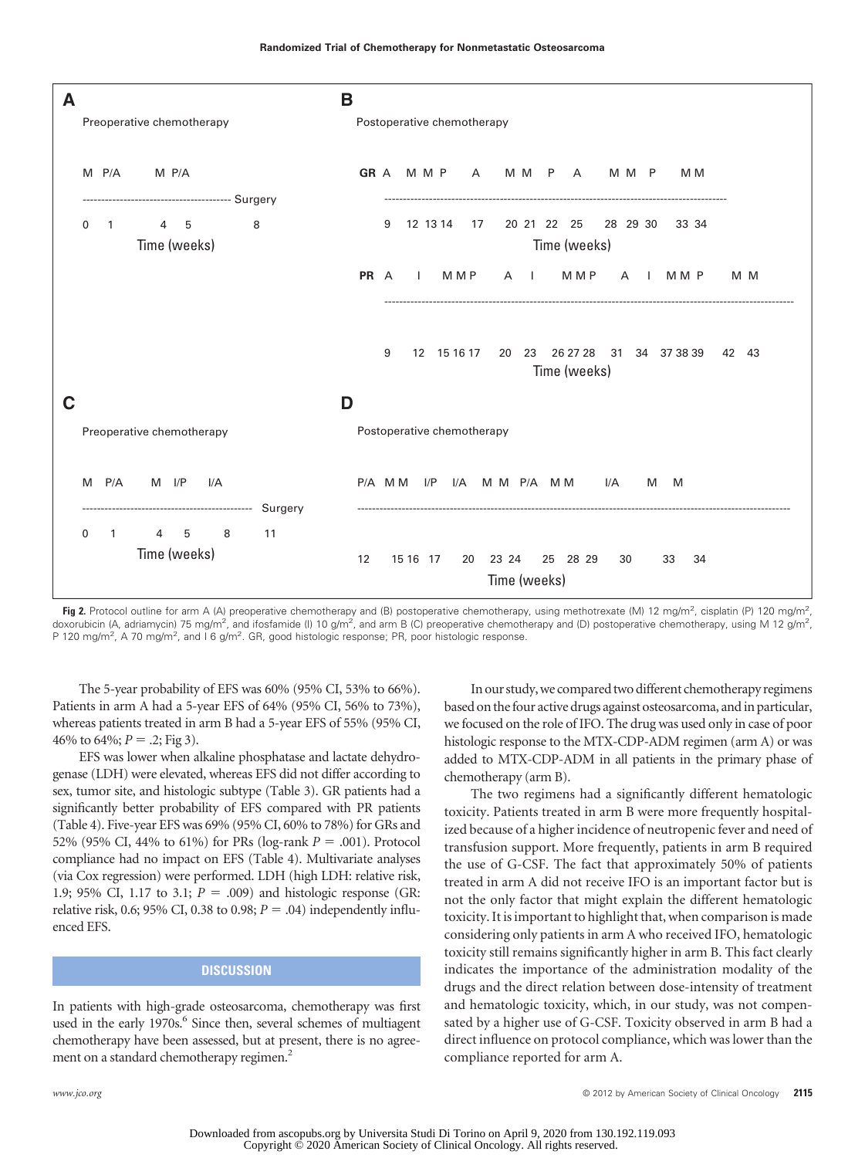

Fig 2. Protocol outline for arm A (A) preoperative chemotherapy and (B) postoperative chemotherapy, using methotrexate (M) 12 mg/m<sup>2</sup>, cisplatin (P) 120 mg/m<sup>2</sup>, doxorubicin (A, adriamycin) 75 mg/m<sup>2</sup>, and ifosfamide (I) 10 g/m<sup>2</sup>, and arm B (C) preoperative chemotherapy and (D) postoperative chemotherapy, using M 12 g/m<sup>2</sup>, P 120 mg/m<sup>2</sup>, A 70 mg/m<sup>2</sup>, and I 6 g/m<sup>2</sup>. GR, good histologic response; PR, poor histologic response.

The 5-year probability of EFS was 60% (95% CI, 53% to 66%). Patients in arm A had a 5-year EFS of 64% (95% CI, 56% to 73%), whereas patients treated in arm B had a 5-year EFS of 55% (95% CI, 46% to 64%;  $P = .2$ ; Fig 3).

EFS was lower when alkaline phosphatase and lactate dehydrogenase (LDH) were elevated, whereas EFS did not differ according to sex, tumor site, and histologic subtype (Table 3). GR patients had a significantly better probability of EFS compared with PR patients (Table 4). Five-year EFS was 69% (95% CI, 60% to 78%) for GRs and 52% (95% CI, 44% to 61%) for PRs ( $log-rank P = .001$ ). Protocol compliance had no impact on EFS (Table 4). Multivariate analyses (via Cox regression) were performed. LDH (high LDH: relative risk, 1.9; 95% CI, 1.17 to 3.1;  $P = .009$ ) and histologic response (GR: relative risk, 0.6; 95% CI, 0.38 to 0.98;  $P = .04$ ) independently influenced EFS.

# **DISCUSSION**

In patients with high-grade osteosarcoma, chemotherapy was first used in the early 1970s.<sup>6</sup> Since then, several schemes of multiagent chemotherapy have been assessed, but at present, there is no agreement on a standard chemotherapy regimen.<sup>2</sup>

In our study, we compared two different chemotherapy regimens based on the four active drugs against osteosarcoma, and in particular, we focused on the role of IFO. The drug was used only in case of poor histologic response to the MTX-CDP-ADM regimen (arm A) or was added to MTX-CDP-ADM in all patients in the primary phase of chemotherapy (arm B).

The two regimens had a significantly different hematologic toxicity. Patients treated in arm B were more frequently hospitalized because of a higher incidence of neutropenic fever and need of transfusion support. More frequently, patients in arm B required the use of G-CSF. The fact that approximately 50% of patients treated in arm A did not receive IFO is an important factor but is not the only factor that might explain the different hematologic toxicity. It is important to highlight that, when comparison is made considering only patients in arm A who received IFO, hematologic toxicity still remains significantly higher in arm B. This fact clearly indicates the importance of the administration modality of the drugs and the direct relation between dose-intensity of treatment and hematologic toxicity, which, in our study, was not compensated by a higher use of G-CSF. Toxicity observed in arm B had a direct influence on protocol compliance, which was lower than the compliance reported for arm A.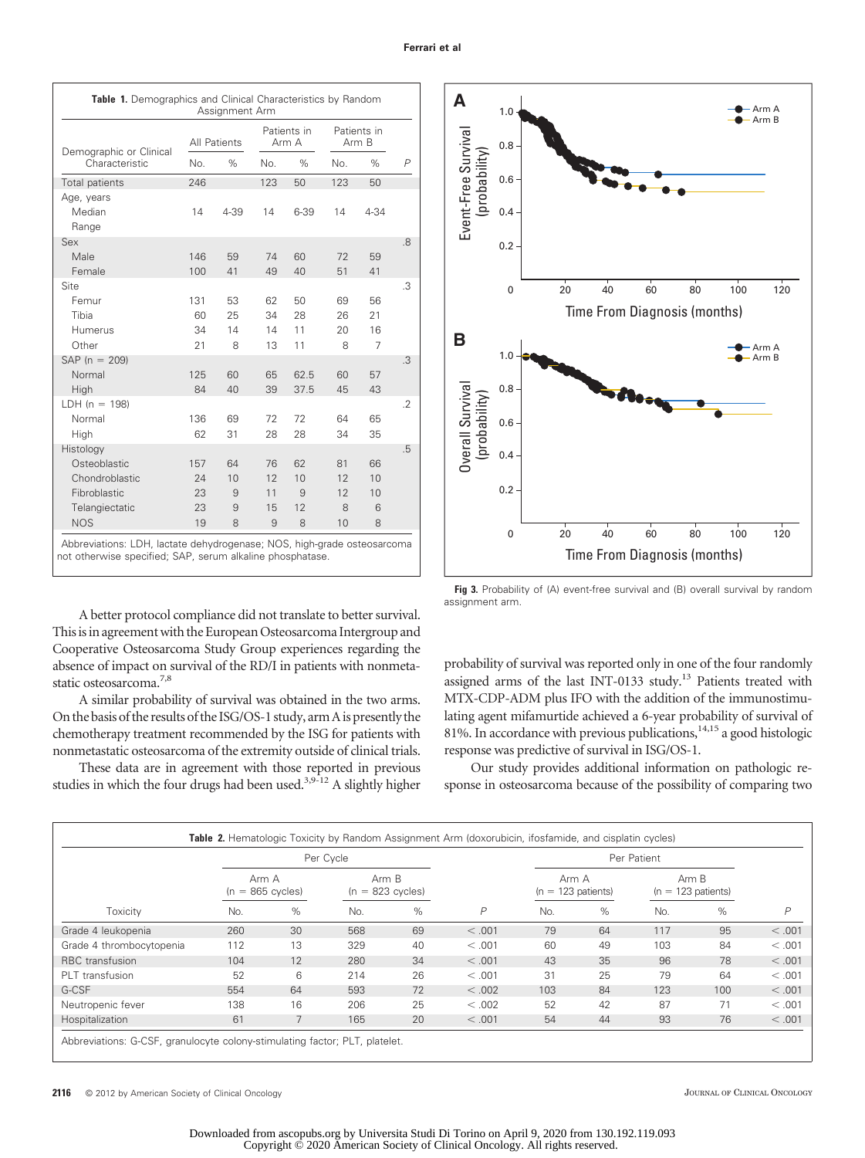| Demographic or Clinical                                                                     | All Patients                |                         |                                     | Patients in<br>Arm A     | Patients in<br>Arm B      |                          |                |
|---------------------------------------------------------------------------------------------|-----------------------------|-------------------------|-------------------------------------|--------------------------|---------------------------|--------------------------|----------------|
| Characteristic                                                                              | No.                         | $\%$                    | No.                                 | $\%$                     | No.                       | $\%$                     | $\overline{P}$ |
| Total patients                                                                              | 246                         |                         | 123                                 | 50                       | 123                       | 50                       |                |
| Age, years<br>Median<br>Range                                                               | 14                          | 4-39                    | 14                                  | 6-39                     | 14                        | $4 - 34$                 |                |
| Sex<br>Male<br>Female                                                                       | 146<br>100                  | 59<br>41                | 74<br>49                            | 60<br>40                 | 72<br>51                  | 59<br>41                 | .8             |
| Site<br>Femur<br>Tibia<br>Humerus<br>Other                                                  | 131<br>60<br>34<br>21       | 53<br>25<br>14<br>8     | 62<br>34<br>14<br>13                | 50<br>28<br>11<br>11     | 69<br>26<br>20<br>8       | 56<br>21<br>16<br>7      | .3             |
| $SAP (n = 209)$<br>Normal<br>High                                                           | 125<br>84                   | 60<br>40                | 65<br>39                            | 62.5<br>37.5             | 60<br>45                  | 57<br>43                 | .3             |
| $LDH (n = 198)$<br>Normal<br>High                                                           | 136<br>62                   | 69<br>31                | 72<br>28                            | 72<br>28                 | 64<br>34                  | 65<br>35                 | .2             |
| Histology<br>Osteoblastic<br>Chondroblastic<br>Fibroblastic<br>Telangiectatic<br><b>NOS</b> | 157<br>24<br>23<br>23<br>19 | 64<br>10<br>9<br>9<br>8 | 76<br>12<br>11<br>15<br>$\mathsf g$ | 62<br>10<br>9<br>12<br>8 | 81<br>12<br>12<br>8<br>10 | 66<br>10<br>10<br>6<br>8 | .5             |



not otherwise specified; SAP, serum alkaline phosphatase.

A better protocol compliance did not translate to better survival. This is in agreement with the European Osteosarcoma Intergroup and Cooperative Osteosarcoma Study Group experiences regarding the absence of impact on survival of the RD/I in patients with nonmetastatic osteosarcoma.<sup>7,8</sup>

A similar probability of survival was obtained in the two arms. On the basis of the results of the ISG/OS-1 study, arm A is presently the chemotherapy treatment recommended by the ISG for patients with nonmetastatic osteosarcoma of the extremity outside of clinical trials.

These data are in agreement with those reported in previous studies in which the four drugs had been used.<sup>3,9-12</sup> A slightly higher

**Fig 3.** Probability of (A) event-free survival and (B) overall survival by random assignment arm.

probability of survival was reported only in one of the four randomly assigned arms of the last INT-0133 study.<sup>13</sup> Patients treated with MTX-CDP-ADM plus IFO with the addition of the immunostimulating agent mifamurtide achieved a 6-year probability of survival of 81%. In accordance with previous publications, $14,15$  a good histologic response was predictive of survival in ISG/OS-1.

Our study provides additional information on pathologic response in osteosarcoma because of the possibility of comparing two

| Toxicity                 | Per Cycle                   |    |                             |    |         |                               |    |                               |     |         |
|--------------------------|-----------------------------|----|-----------------------------|----|---------|-------------------------------|----|-------------------------------|-----|---------|
|                          | Arm A<br>$(n = 865$ cycles) |    | Arm B<br>$(n = 823$ cycles) |    |         | Arm A<br>$(n = 123$ patients) |    | Arm B<br>$(n = 123$ patients) |     |         |
|                          | No.                         | %  | No.                         | %  | P       | No.                           | %  | No.                           | %   | P       |
| Grade 4 leukopenia       | 260                         | 30 | 568                         | 69 | < 0.001 | 79                            | 64 | 117                           | 95  | < 0.001 |
| Grade 4 thrombocytopenia | 112                         | 13 | 329                         | 40 | < 0.001 | 60                            | 49 | 103                           | 84  | < 0.001 |
| <b>RBC</b> transfusion   | 104                         | 12 | 280                         | 34 | < 0.001 | 43                            | 35 | 96                            | 78  | < 0.001 |
| PLT transfusion          | 52                          | 6  | 214                         | 26 | < 0.001 | 31                            | 25 | 79                            | 64  | < 0.001 |
| G-CSF                    | 554                         | 64 | 593                         | 72 | < 0.002 | 103                           | 84 | 123                           | 100 | < 0.001 |
| Neutropenic fever        | 138                         | 16 | 206                         | 25 | < 0.002 | 52                            | 42 | 87                            | 71  | < 0.001 |
| Hospitalization          | 61                          |    | 165                         | 20 | < .001  | 54                            | 44 | 93                            | 76  | < .001  |

Abbreviations: G-CSF, granulocyte colony-stimulating factor; PLT, platelet.

**2116** © 2012 by American Society of Clinical Oncology **JOURNAL OF CLINICAL ONCOLOGY** JOURNAL OF CLINICAL ONCOLOGY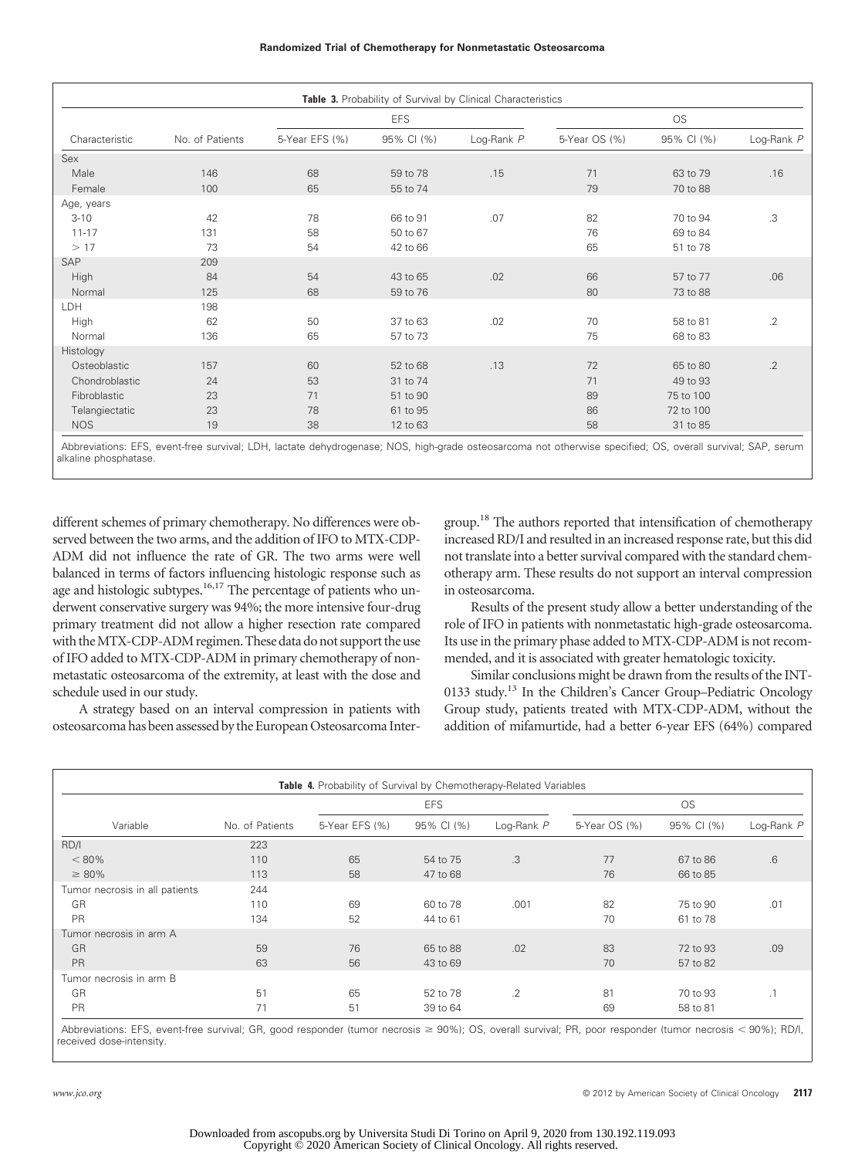|                | Table 3. Probability of Survival by Clinical Characteristics |                |            |            |               |            |                 |  |  |  |
|----------------|--------------------------------------------------------------|----------------|------------|------------|---------------|------------|-----------------|--|--|--|
|                |                                                              |                | <b>EFS</b> | OS         |               |            |                 |  |  |  |
| Characteristic | No. of Patients                                              | 5-Year EFS (%) | 95% CI (%) | Log-Rank P | 5-Year OS (%) | 95% CI (%) | Log-Rank $P$    |  |  |  |
| Sex            |                                                              |                |            |            |               |            |                 |  |  |  |
| Male           | 146                                                          | 68             | 59 to 78   | .15        | 71            | 63 to 79   | .16             |  |  |  |
| Female         | 100                                                          | 65             | 55 to 74   |            | 79            | 70 to 88   |                 |  |  |  |
| Age, years     |                                                              |                |            |            |               |            |                 |  |  |  |
| $3 - 10$       | 42                                                           | 78             | 66 to 91   | .07        | 82            | 70 to 94   | .3              |  |  |  |
| $11 - 17$      | 131                                                          | 58             | 50 to 67   |            | 76            | 69 to 84   |                 |  |  |  |
| >17            | 73                                                           | 54             | 42 to 66   |            | 65            | 51 to 78   |                 |  |  |  |
| SAP            | 209                                                          |                |            |            |               |            |                 |  |  |  |
| High           | 84                                                           | 54             | 43 to 65   | .02        | 66            | 57 to 77   | .06             |  |  |  |
| Normal         | 125                                                          | 68             | 59 to 76   |            | 80            | 73 to 88   |                 |  |  |  |
| LDH            | 198                                                          |                |            |            |               |            |                 |  |  |  |
| High           | 62                                                           | 50             | 37 to 63   | .02        | 70            | 58 to 81   | $\cdot$ 2       |  |  |  |
| Normal         | 136                                                          | 65             | 57 to 73   |            | 75            | 68 to 83   |                 |  |  |  |
| Histology      |                                                              |                |            |            |               |            |                 |  |  |  |
| Osteoblastic   | 157                                                          | 60             | 52 to 68   | .13        | 72            | 65 to 80   | $.2\phantom{0}$ |  |  |  |
| Chondroblastic | 24                                                           | 53             | 31 to 74   |            | 71            | 49 to 93   |                 |  |  |  |
| Fibroblastic   | 23                                                           | 71             | 51 to 90   |            | 89            | 75 to 100  |                 |  |  |  |
| Telangiectatic | 23                                                           | 78             | 61 to 95   |            | 86            | 72 to 100  |                 |  |  |  |
| <b>NOS</b>     | 19                                                           | 38             | 12 to 63   |            | 58            | 31 to 85   |                 |  |  |  |

Abbreviations: EFS, event-free survival; LDH, lactate dehydrogenase; NOS, high-grade osteosarcoma not otherwise specified; OS, overall survival; SAP, serum alkaline phosphatase.

different schemes of primary chemotherapy. No differences were observed between the two arms, and the addition of IFO to MTX-CDP-ADM did not influence the rate of GR. The two arms were well balanced in terms of factors influencing histologic response such as age and histologic subtypes.<sup>16,17</sup> The percentage of patients who underwent conservative surgery was 94%; the more intensive four-drug primary treatment did not allow a higher resection rate compared with theMTX-CDP-ADM regimen.These data do not support the use of IFO added to MTX-CDP-ADM in primary chemotherapy of nonmetastatic osteosarcoma of the extremity, at least with the dose and schedule used in our study.

A strategy based on an interval compression in patients with osteosarcoma has been assessed by the European Osteosarcoma Intergroup.<sup>18</sup> The authors reported that intensification of chemotherapy increased RD/I and resulted in an increased response rate, but this did not translate into a better survival compared with the standard chemotherapy arm. These results do not support an interval compression in osteosarcoma.

Results of the present study allow a better understanding of the role of IFO in patients with nonmetastatic high-grade osteosarcoma. Its use in the primary phase added to MTX-CDP-ADM is not recommended, and it is associated with greater hematologic toxicity.

Similar conclusions might be drawn from the results of the INT-0133 study.<sup>13</sup> In the Children's Cancer Group–Pediatric Oncology Group study, patients treated with MTX-CDP-ADM, without the addition of mifamurtide, had a better 6-year EFS (64%) compared

|                                |                 |                | <b>OS</b>  |            |               |            |            |
|--------------------------------|-----------------|----------------|------------|------------|---------------|------------|------------|
| Variable                       | No. of Patients | 5-Year EFS (%) | 95% CI (%) | Log-Rank P | 5-Year OS (%) | 95% CI (%) | Log-Rank P |
| RD/I                           | 223             |                |            |            |               |            |            |
| $< 80\%$                       | 110             | 65             | 54 to 75   | .3         | 77            | 67 to 86   | .6         |
| $\geq 80\%$                    | 113             | 58             | 47 to 68   |            | 76            | 66 to 85   |            |
| Tumor necrosis in all patients | 244             |                |            |            |               |            |            |
| GR                             | 110             | 69             | 60 to 78   | .001       | 82            | 75 to 90   | .01        |
| PR                             | 134             | 52             | 44 to 61   |            | 70            | 61 to 78   |            |
| Tumor necrosis in arm A        |                 |                |            |            |               |            |            |
| GR                             | 59              | 76             | 65 to 88   | .02        | 83            | 72 to 93   | .09        |
| PR                             | 63              | 56             | 43 to 69   |            | 70            | 57 to 82   |            |
| Tumor necrosis in arm B        |                 |                |            |            |               |            |            |
| GR                             | 51              | 65             | 52 to 78   | $\cdot$    | 81            | 70 to 93   | $\cdot$ 1  |
| PR                             | 71              | 51             | 39 to 64   |            | 69            | 58 to 81   |            |

Abbreviations: EFS, event-free survival; GR, good responder (tumor necrosis ≥ 90%); OS, overall survival; PR, poor responder (tumor necrosis < 90%); RD/I, received dose-intensity.